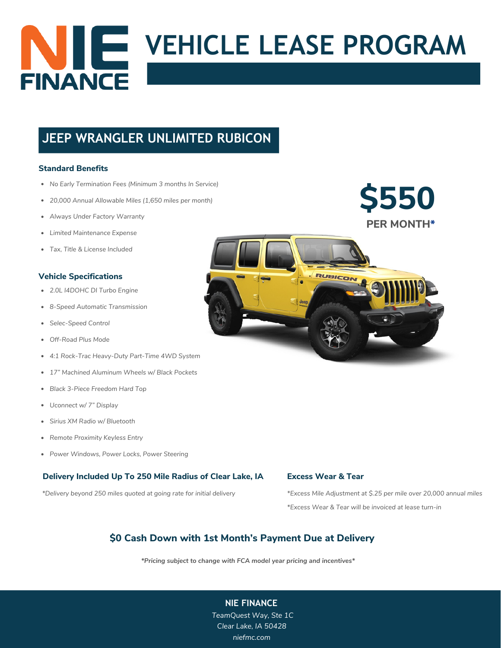

# **JEEP WRANGLER UNLIMITED RUBICON**

### **Standard Benefits**

- *No Early Termination Fees (Minimum 3 months In Service)*
- *20,000 Annual Allowable Miles (1,650 miles per month)*
- *Always Under Factory Warranty*
- *Limited Maintenance Expense*
- *Tax, Title & License Included*

### **Vehicle Specifications**

- *2.0L I4DOHC DI Turbo Engine*
- *8-Speed Automatic Transmission*
- *Selec-Speed Control*
- *Off-Road Plus Mode*
- *4:1 Rock-Trac Heavy-Duty Part-Time 4WD System*
- *17" Machined Aluminum Wheels w/ Black Pockets*
- *Black 3-Piece Freedom Hard Top*
- *Uconnect w/ 7" Display*
- *Sirius XM Radio w/ Bluetooth*
- *Remote Proximity Keyless Entry*
- *Power Windows, Power Locks, Power Steering*

### **Delivery Included Up To 250 Mile Radius of Clear Lake, IA**

*\*Delivery beyond 250 miles quoted at going rate for initial delivery*



**Excess Wear & Tear**

RUBICOI

*\*Excess Mile Adjustment at \$.25 per mile over 20,000 annual miles \*Excess Wear & Tear will be invoiced at lease turn-in*

## **\$0 Cash Down with 1st Month's Payment Due at Delivery**

*\*Pricing subject to change with FCA model year pricing and incentives\**

*[TeamQuest](http://pritchardco.com/) Way, Ste 1C Clear Lake, IA [50428](http://pritchardco.com/) [niefmc.com](http://pritchardco.com/)*

### **NIE FINANC[E](http://pritchardco.com/)**